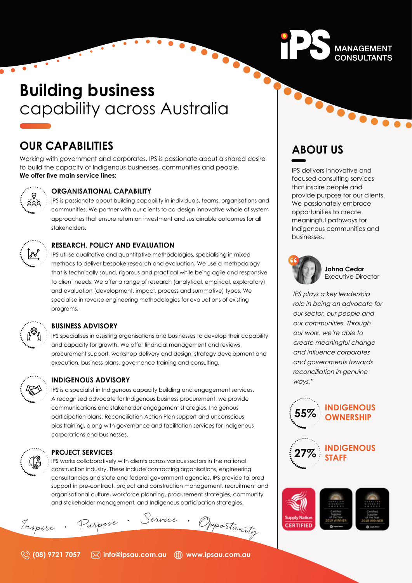# **Building business**  capability across Australia

# **OUR CAPABILITIES**

Working with government and corporates, IPS is passionate about a shared desire to build the capacity of Indigenous businesses, communities and people. **We offer five main service lines:**



# **ORGANISATIONAL CAPABILITY**

۰.

IPS is passionate about building capability in individuals, teams, organisations and communities. We partner with our clients to co-design innovative whole of system approaches that ensure return on investment and sustainable outcomes for all stakeholders.



# **RESEARCH, POLICY AND EVALUATION**

IPS utilise qualitative and quantitative methodologies, specialising in mixed methods to deliver bespoke research and evaluation. We use a methodology that is technically sound, rigorous and practical while being agile and responsive to client needs. We offer a range of research (analytical, empirical, exploratory) and evaluation (development, impact, process and summative) types. We specialise in reverse engineering methodologies for evaluations of existing programs.

## **BUSINESS ADVISORY**

IPS specialises in assisting organisations and businesses to develop their capability and capacity for growth. We offer financial management and reviews, procurement support, workshop delivery and design, strategy development and execution, business plans, governance training and consulting.



## **INDIGENOUS ADVISORY**

IPS is a specialist in Indigenous capacity building and engagement services. A recognised advocate for Indigenous business procurement, we provide communications and stakeholder engagement strategies, Indigenous participation plans, Reconciliation Action Plan support and unconscious bias training, along with governance and facilitation services for Indigenous corporations and businesses.

# **PROJECT SERVICES**

IPS works collaboratively with clients across various sectors in the national construction industry. These include contracting organisations, engineering consultancies and state and federal government agencies. IPS provide tailored support in pre-contract, project and construction management, recruitment and organisational culture, workforce planning, procurement strategies, community and stakeholder management, and Indigenous participation strategies.



| Tropire |  | Purpose |  |  |  | Service Mpporument |
|---------|--|---------|--|--|--|--------------------|
|---------|--|---------|--|--|--|--------------------|





# 

MANAGEMENT

**CONSULTANTS** 

# **ABOUT US**

IPS delivers innovative and focused consulting services that inspire people and provide purpose for our clients. We passionately embrace opportunities to create meaningful pathways for Indigenous communities and businesses.



# **Jahna Cedar** Executive Director

IPS plays a key leadership role in being an advocate for our sector, our people and our communities. Through our work, we're able to create meaningful change and influence corporates and governments towards reconciliation in genuine ways."



**CERTIFIED**